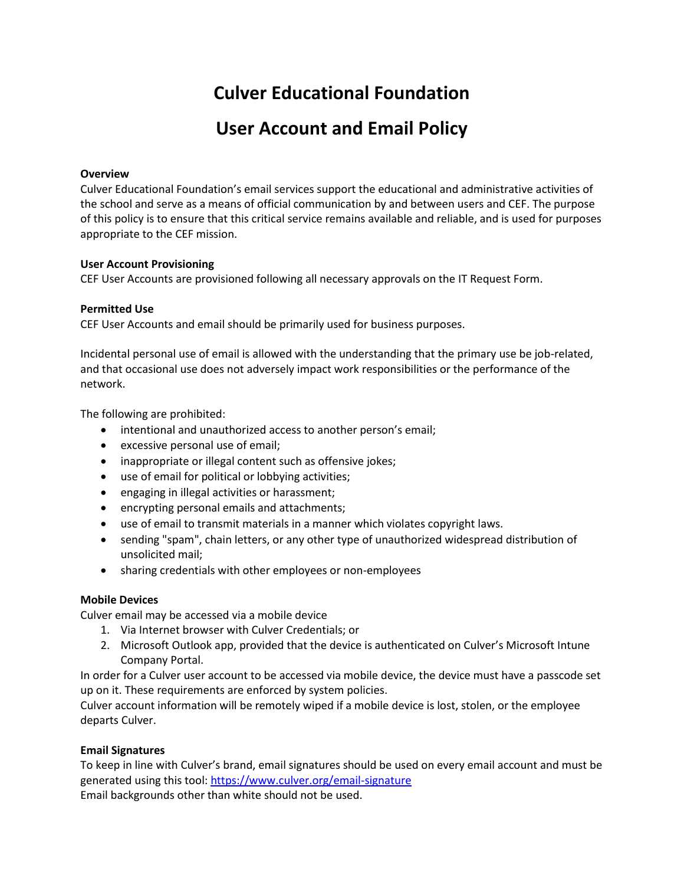# **Culver Educational Foundation**

# **User Account and Email Policy**

### **Overview**

Culver Educational Foundation's email services support the educational and administrative activities of the school and serve as a means of official communication by and between users and CEF. The purpose of this policy is to ensure that this critical service remains available and reliable, and is used for purposes appropriate to the CEF mission.

#### **User Account Provisioning**

CEF User Accounts are provisioned following all necessary approvals on the IT Request Form.

#### **Permitted Use**

CEF User Accounts and email should be primarily used for business purposes.

Incidental personal use of email is allowed with the understanding that the primary use be job-related, and that occasional use does not adversely impact work responsibilities or the performance of the network.

The following are prohibited:

- intentional and unauthorized access to another person's email;
- excessive personal use of email;
- inappropriate or illegal content such as offensive jokes;
- use of email for political or lobbying activities;
- engaging in illegal activities or harassment;
- encrypting personal emails and attachments;
- use of email to transmit materials in a manner which violates copyright laws.
- sending "spam", chain letters, or any other type of unauthorized widespread distribution of unsolicited mail;
- sharing credentials with other employees or non-employees

#### **Mobile Devices**

Culver email may be accessed via a mobile device

- 1. Via Internet browser with Culver Credentials; or
- 2. Microsoft Outlook app, provided that the device is authenticated on Culver's Microsoft Intune Company Portal.

In order for a Culver user account to be accessed via mobile device, the device must have a passcode set up on it. These requirements are enforced by system policies.

Culver account information will be remotely wiped if a mobile device is lost, stolen, or the employee departs Culver.

## **Email Signatures**

To keep in line with Culver's brand, email signatures should be used on every email account and must be generated using this tool[: https://www.culver.org/email-signature](https://www.culver.org/email-signature) Email backgrounds other than white should not be used.